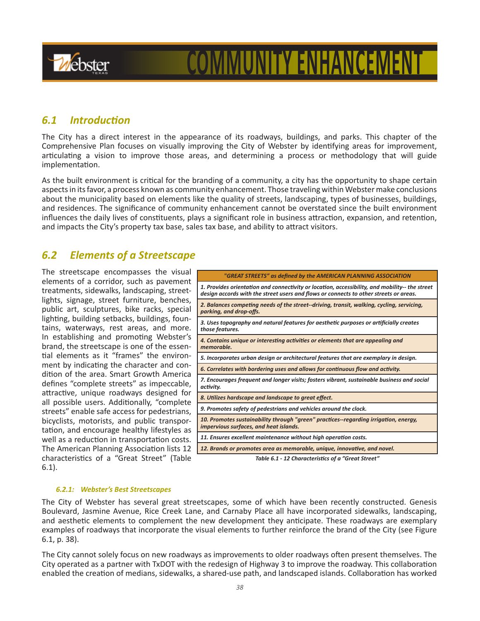

# **COMMUNITY ENHANCEMEI**

## *6.1 Introduction*

The City has a direct interest in the appearance of its roadways, buildings, and parks. This chapter of the Comprehensive Plan focuses on visually improving the City of Webster by identifying areas for improvement, articulating a vision to improve those areas, and determining a process or methodology that will guide implementation.

As the built environment is critical for the branding of a community, a city has the opportunity to shape certain aspects in its favor, a process known as community enhancement. Those traveling within Webster make conclusions about the municipality based on elements like the quality of streets, landscaping, types of businesses, buildings, and residences. The significance of community enhancement cannot be overstated since the built environment influences the daily lives of constituents, plays a significant role in business attraction, expansion, and retention, and impacts the City's property tax base, sales tax base, and ability to attract visitors.

## *6.2 Elements of a Streetscape*

The streetscape encompasses the visual elements of a corridor, such as pavement treatments, sidewalks, landscaping, streetlights, signage, street furniture, benches, public art, sculptures, bike racks, special lighting, building setbacks, buildings, fountains, waterways, rest areas, and more. In establishing and promoting Webster's brand, the streetscape is one of the essential elements as it "frames" the environment by indicating the character and condition of the area. Smart Growth America defines "complete streets" as impeccable, attractive, unique roadways designed for all possible users. Additionally, "complete streets" enable safe access for pedestrians, bicyclists, motorists, and public transportation, and encourage healthy lifestyles as well as a reduction in transportation costs. The American Planning Association lists 12 characteristics of a "Great Street" (Table 6.1).

| "GREAT STREETS" as defined by the AMERICAN PLANNING ASSOCIATION                                                                                                                         |
|-----------------------------------------------------------------------------------------------------------------------------------------------------------------------------------------|
| 1. Provides orientation and connectivity or location, accessibility, and mobility-- the street<br>design accords with the street users and flows or connects to other streets or areas. |
| 2. Balances competing needs of the street--driving, transit, walking, cycling, servicing,<br>parking, and drop-offs.                                                                    |
| 3. Uses topography and natural features for aesthetic purposes or artificially creates<br>those features.                                                                               |
| 4. Contains unique or interesting activities or elements that are appealing and<br>memorable.                                                                                           |
| 5. Incorporates urban design or architectural features that are exemplary in design.                                                                                                    |
| 6. Correlates with bordering uses and allows for continuous flow and activity.                                                                                                          |
| 7. Encourages frequent and longer visits; fosters vibrant, sustainable business and social<br>activity.                                                                                 |
| 8. Utilizes hardscape and landscape to great effect.                                                                                                                                    |
| 9. Promotes safety of pedestrians and vehicles around the clock.                                                                                                                        |
| 10. Promotes sustainability through "green" practices--regarding irrigation, energy,<br>impervious surfaces, and heat islands.                                                          |
| 11. Ensures excellent maintenance without high operation costs.                                                                                                                         |
| 12. Brands or promotes area as memorable, unique, innovative, and novel.                                                                                                                |
| Table 6.1 - 12 Characteristics of a "Great Street"                                                                                                                                      |

#### *6.2.1: Webster's Best Streetscapes*

The City of Webster has several great streetscapes, some of which have been recently constructed. Genesis Boulevard, Jasmine Avenue, Rice Creek Lane, and Carnaby Place all have incorporated sidewalks, landscaping, and aesthetic elements to complement the new development they anticipate. These roadways are exemplary examples of roadways that incorporate the visual elements to further reinforce the brand of the City (see Figure 6.1, p. 38).

The City cannot solely focus on new roadways as improvements to older roadways often present themselves. The City operated as a partner with TxDOT with the redesign of Highway 3 to improve the roadway. This collaboration enabled the creation of medians, sidewalks, a shared-use path, and landscaped islands. Collaboration has worked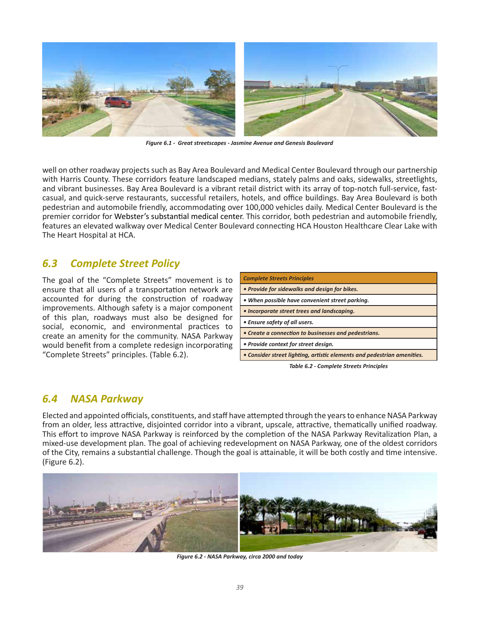

*Figure 6.1 - Great streetscapes - Jasmine Avenue and Genesis Boulevard*

well on other roadway projects such as Bay Area Boulevard and Medical Center Boulevard through our partnership with Harris County. These corridors feature landscaped medians, stately palms and oaks, sidewalks, streetlights, and vibrant businesses. Bay Area Boulevard is a vibrant retail district with its array of top-notch full-service, fastcasual, and quick-serve restaurants, successful retailers, hotels, and office buildings. Bay Area Boulevard is both pedestrian and automobile friendly, accommodating over 100,000 vehicles daily. Medical Center Boulevard is the premier corridor for Webster's substantial medical center. This corridor, both pedestrian and automobile friendly, features an elevated walkway over Medical Center Boulevard connecting HCA Houston Healthcare Clear Lake with The Heart Hospital at HCA.

## *6.3 Complete Street Policy*

The goal of the "Complete Streets" movement is to ensure that all users of a transportation network are accounted for during the construction of roadway improvements. Although safety is a major component of this plan, roadways must also be designed for social, economic, and environmental practices to create an amenity for the community. NASA Parkway would benefit from a complete redesign incorporating "Complete Streets" principles. (Table 6.2).

| <b>Complete Streets Principles</b>                                      |
|-------------------------------------------------------------------------|
| • Provide for sidewalks and design for bikes.                           |
| • When possible have convenient street parking.                         |
| • Incorporate street trees and landscaping.                             |
| • Ensure safety of all users.                                           |
| • Create a connection to businesses and pedestrians.                    |
| • Provide context for street design.                                    |
| • Consider street lighting, artistic elements and pedestrian amenities. |

*Table 6.2 - Complete Streets Principles*

## *6.4 NASA Parkway*

Elected and appointed officials, constituents, and staff have attempted through the years to enhance NASA Parkway from an older, less attractive, disjointed corridor into a vibrant, upscale, attractive, thematically unified roadway. This effort to improve NASA Parkway is reinforced by the completion of the NASA Parkway Revitalization Plan, a mixed-use development plan. The goal of achieving redevelopment on NASA Parkway, one of the oldest corridors of the City, remains a substantial challenge. Though the goal is attainable, it will be both costly and time intensive. (Figure 6.2).



*Figure 6.2 - NASA Parkway, circa 2000 and today*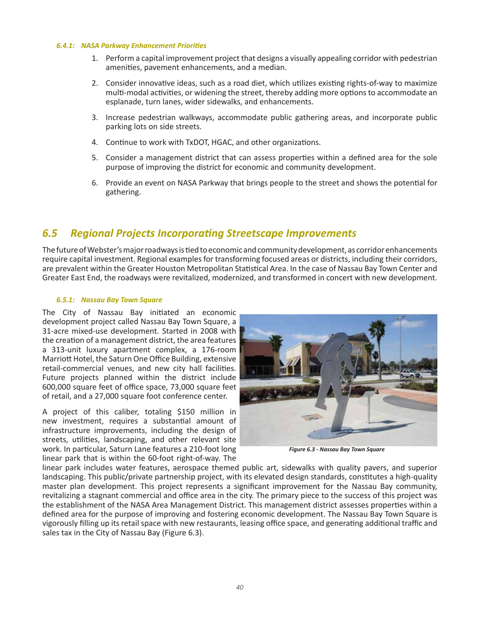#### *6.4.1: NASA Parkway Enhancement Priorities*

- 1. Perform a capital improvement project that designs a visually appealing corridor with pedestrian amenities, pavement enhancements, and a median.
- 2. Consider innovative ideas, such as a road diet, which utilizes existing rights-of-way to maximize multi-modal activities, or widening the street, thereby adding more options to accommodate an esplanade, turn lanes, wider sidewalks, and enhancements.
- 3. Increase pedestrian walkways, accommodate public gathering areas, and incorporate public parking lots on side streets.
- 4. Continue to work with TxDOT, HGAC, and other organizations.
- 5. Consider a management district that can assess properties within a defined area for the sole purpose of improving the district for economic and community development.
- 6. Provide an event on NASA Parkway that brings people to the street and shows the potential for gathering.

## *6.5 Regional Projects Incorporating Streetscape Improvements*

The future of Webster's major roadways is tied to economic and community development, as corridor enhancements require capital investment. Regional examples for transforming focused areas or districts, including their corridors, are prevalent within the Greater Houston Metropolitan Statistical Area. In the case of Nassau Bay Town Center and Greater East End, the roadways were revitalized, modernized, and transformed in concert with new development.

#### *6.5.1: Nassau Bay Town Square*

The City of Nassau Bay initiated an economic development project called Nassau Bay Town Square, a 31-acre mixed-use development. Started in 2008 with the creation of a management district, the area features a 313-unit luxury apartment complex, a 176-room Marriott Hotel, the Saturn One Office Building, extensive retail-commercial venues, and new city hall facilities. Future projects planned within the district include 600,000 square feet of office space, 73,000 square feet of retail, and a 27,000 square foot conference center.

A project of this caliber, totaling \$150 million in new investment, requires a substantial amount of infrastructure improvements, including the design of streets, utilities, landscaping, and other relevant site work. In particular, Saturn Lane features a 210-foot long linear park that is within the 60-foot right-of-way. The



*Figure 6.3 - Nassau Bay Town Square*

linear park includes water features, aerospace themed public art, sidewalks with quality pavers, and superior landscaping. This public/private partnership project, with its elevated design standards, constitutes a high-quality master plan development. This project represents a significant improvement for the Nassau Bay community, revitalizing a stagnant commercial and office area in the city. The primary piece to the success of this project was the establishment of the NASA Area Management District. This management district assesses properties within a defined area for the purpose of improving and fostering economic development. The Nassau Bay Town Square is vigorously filling up its retail space with new restaurants, leasing office space, and generating additional traffic and sales tax in the City of Nassau Bay (Figure 6.3).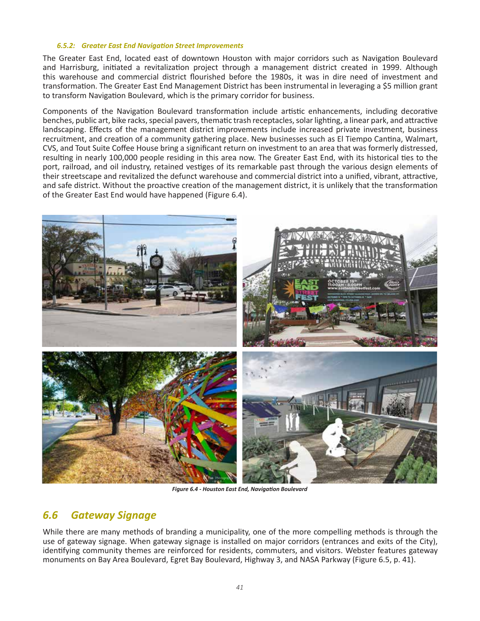#### *6.5.2: Greater East End Navigation Street Improvements*

The Greater East End, located east of downtown Houston with major corridors such as Navigation Boulevard and Harrisburg, initiated a revitalization project through a management district created in 1999. Although this warehouse and commercial district flourished before the 1980s, it was in dire need of investment and transformation. The Greater East End Management District has been instrumental in leveraging a \$5 million grant to transform Navigation Boulevard, which is the primary corridor for business.

Components of the Navigation Boulevard transformation include artistic enhancements, including decorative benches, public art, bike racks, special pavers, thematic trash receptacles, solar lighting, a linear park, and attractive landscaping. Effects of the management district improvements include increased private investment, business recruitment, and creation of a community gathering place. New businesses such as El Tiempo Cantina, Walmart, CVS, and Tout Suite Coffee House bring a significant return on investment to an area that was formerly distressed, resulting in nearly 100,000 people residing in this area now. The Greater East End, with its historical ties to the port, railroad, and oil industry, retained vestiges of its remarkable past through the various design elements of their streetscape and revitalized the defunct warehouse and commercial district into a unified, vibrant, attractive, and safe district. Without the proactive creation of the management district, it is unlikely that the transformation of the Greater East End would have happened (Figure 6.4).



*Figure 6.4 - Houston East End, Navigation Boulevard*

# *6.6 Gateway Signage*

While there are many methods of branding a municipality, one of the more compelling methods is through the use of gateway signage. When gateway signage is installed on major corridors (entrances and exits of the City), identifying community themes are reinforced for residents, commuters, and visitors. Webster features gateway monuments on Bay Area Boulevard, Egret Bay Boulevard, Highway 3, and NASA Parkway (Figure 6.5, p. 41).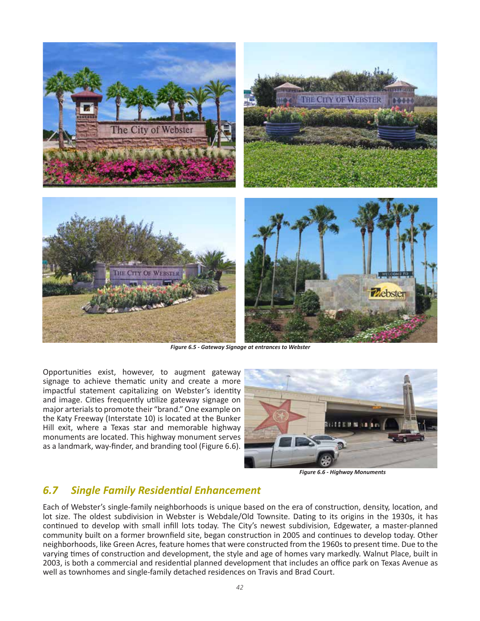

*Figure 6.5 - Gateway Signage at entrances to Webster*

Opportunities exist, however, to augment gateway signage to achieve thematic unity and create a more impactful statement capitalizing on Webster's identity and image. Cities frequently utilize gateway signage on major arterials to promote their "brand." One example on the Katy Freeway (Interstate 10) is located at the Bunker Hill exit, where a Texas star and memorable highway monuments are located. This highway monument serves as a landmark, way-finder, and branding tool (Figure 6.6).



*Figure 6.6 - Highway Monuments*

### *6.7 Single Family Residential Enhancement*

Each of Webster's single-family neighborhoods is unique based on the era of construction, density, location, and lot size. The oldest subdivision in Webster is Webdale/Old Townsite. Dating to its origins in the 1930s, it has continued to develop with small infill lots today. The City's newest subdivision, Edgewater, a master-planned community built on a former brownfield site, began construction in 2005 and continues to develop today. Other neighborhoods, like Green Acres, feature homes that were constructed from the 1960s to present time. Due to the varying times of construction and development, the style and age of homes vary markedly. Walnut Place, built in 2003, is both a commercial and residential planned development that includes an office park on Texas Avenue as well as townhomes and single-family detached residences on Travis and Brad Court.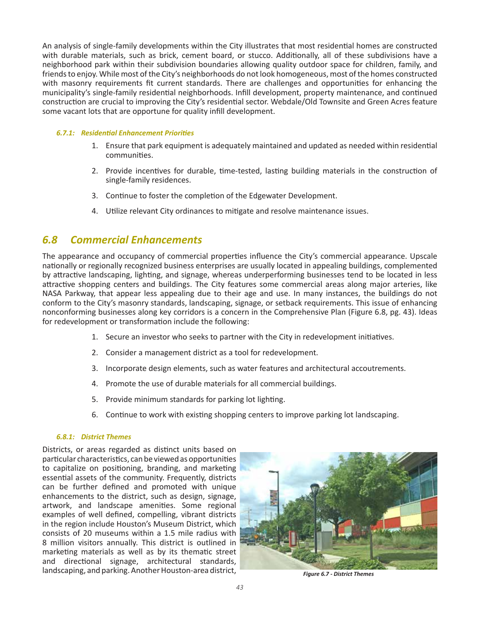An analysis of single-family developments within the City illustrates that most residential homes are constructed with durable materials, such as brick, cement board, or stucco. Additionally, all of these subdivisions have a neighborhood park within their subdivision boundaries allowing quality outdoor space for children, family, and friends to enjoy. While most of the City's neighborhoods do not look homogeneous, most of the homes constructed with masonry requirements fit current standards. There are challenges and opportunities for enhancing the municipality's single-family residential neighborhoods. Infill development, property maintenance, and continued construction are crucial to improving the City's residential sector. Webdale/Old Townsite and Green Acres feature some vacant lots that are opportune for quality infill development.

#### *6.7.1: Residential Enhancement Priorities*

- 1. Ensure that park equipment is adequately maintained and updated as needed within residential communities.
- 2. Provide incentives for durable, time-tested, lasting building materials in the construction of single-family residences.
- 3. Continue to foster the completion of the Edgewater Development.
- 4. Utilize relevant City ordinances to mitigate and resolve maintenance issues.

## *6.8 Commercial Enhancements*

The appearance and occupancy of commercial properties influence the City's commercial appearance. Upscale nationally or regionally recognized business enterprises are usually located in appealing buildings, complemented by attractive landscaping, lighting, and signage, whereas underperforming businesses tend to be located in less attractive shopping centers and buildings. The City features some commercial areas along major arteries, like NASA Parkway, that appear less appealing due to their age and use. In many instances, the buildings do not conform to the City's masonry standards, landscaping, signage, or setback requirements. This issue of enhancing nonconforming businesses along key corridors is a concern in the Comprehensive Plan (Figure 6.8, pg. 43). Ideas for redevelopment or transformation include the following:

- 1. Secure an investor who seeks to partner with the City in redevelopment initiatives.
- 2. Consider a management district as a tool for redevelopment.
- 3. Incorporate design elements, such as water features and architectural accoutrements.
- 4. Promote the use of durable materials for all commercial buildings.
- 5. Provide minimum standards for parking lot lighting.
- 6. Continue to work with existing shopping centers to improve parking lot landscaping.

#### *6.8.1: District Themes*

Districts, or areas regarded as distinct units based on particular characteristics, can be viewed as opportunities to capitalize on positioning, branding, and marketing essential assets of the community. Frequently, districts can be further defined and promoted with unique enhancements to the district, such as design, signage, artwork, and landscape amenities. Some regional examples of well defined, compelling, vibrant districts in the region include Houston's Museum District, which consists of 20 museums within a 1.5 mile radius with 8 million visitors annually. This district is outlined in marketing materials as well as by its thematic street and directional signage, architectural standards, landscaping, and parking. Another Houston-area district, *Figure 6.7 - District Themes*

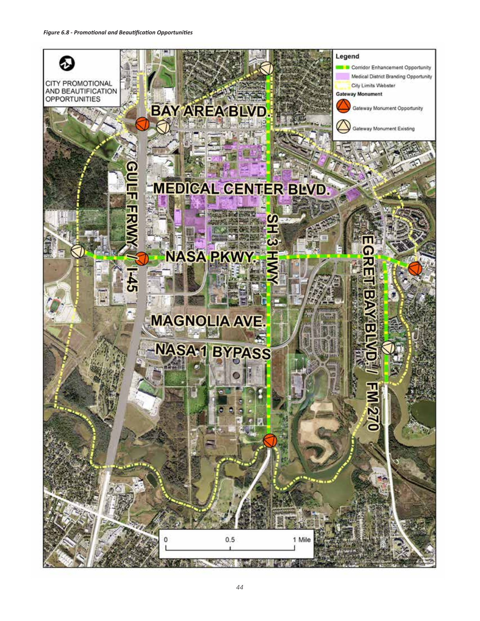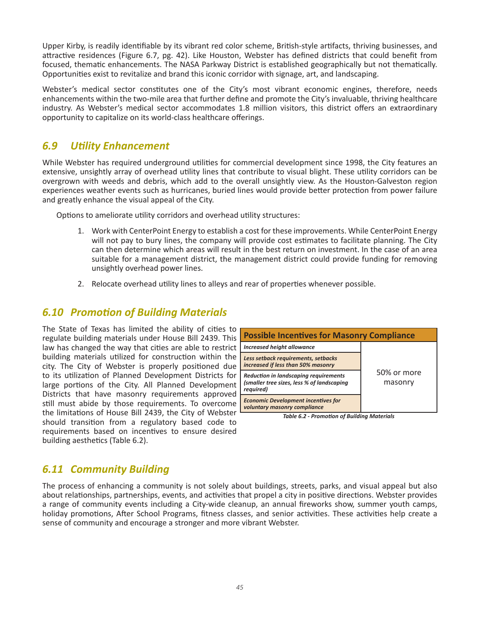Upper Kirby, is readily identifiable by its vibrant red color scheme, British-style artifacts, thriving businesses, and attractive residences (Figure 6.7, pg. 42). Like Houston, Webster has defined districts that could benefit from focused, thematic enhancements. The NASA Parkway District is established geographically but not thematically. Opportunities exist to revitalize and brand this iconic corridor with signage, art, and landscaping.

Webster's medical sector constitutes one of the City's most vibrant economic engines, therefore, needs enhancements within the two-mile area that further define and promote the City's invaluable, thriving healthcare industry. As Webster's medical sector accommodates 1.8 million visitors, this district offers an extraordinary opportunity to capitalize on its world-class healthcare offerings.

# *6.9 Utility Enhancement*

While Webster has required underground utilities for commercial development since 1998, the City features an extensive, unsightly array of overhead utility lines that contribute to visual blight. These utility corridors can be overgrown with weeds and debris, which add to the overall unsightly view. As the Houston-Galveston region experiences weather events such as hurricanes, buried lines would provide better protection from power failure and greatly enhance the visual appeal of the City.

Options to ameliorate utility corridors and overhead utility structures:

- 1. Work with CenterPoint Energy to establish a cost for these improvements. While CenterPoint Energy will not pay to bury lines, the company will provide cost estimates to facilitate planning. The City can then determine which areas will result in the best return on investment. In the case of an area suitable for a management district, the management district could provide funding for removing unsightly overhead power lines.
- 2. Relocate overhead utility lines to alleys and rear of properties whenever possible.

## *6.10 Promotion of Building Materials*

The State of Texas has limited the ability of cities to regulate building materials under House Bill 2439. This law has changed the way that cities are able to restrict building materials utilized for construction within the city. The City of Webster is properly positioned due to its utilization of Planned Development Districts for large portions of the City. All Planned Development Districts that have masonry requirements approved still must abide by those requirements. To overcome the limitations of House Bill 2439, the City of Webster should transition from a regulatory based code to requirements based on incentives to ensure desired building aesthetics (Table 6.2).



*Table 6.2 - Promotion of Building Materials*

# *6.11 Community Building*

The process of enhancing a community is not solely about buildings, streets, parks, and visual appeal but also about relationships, partnerships, events, and activities that propel a city in positive directions. Webster provides a range of community events including a City-wide cleanup, an annual fireworks show, summer youth camps, holiday promotions, After School Programs, fitness classes, and senior activities. These activities help create a sense of community and encourage a stronger and more vibrant Webster.